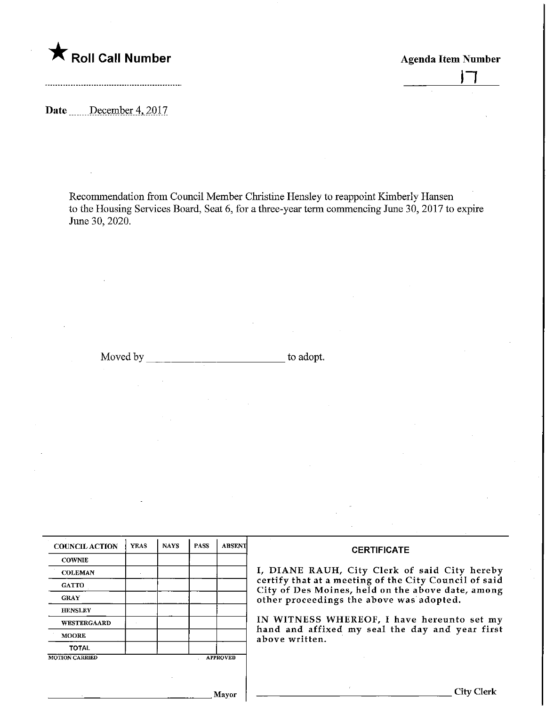

1-1

Date .......December 4, 2017

Recommendation from Council Member Christine Hensley to reappoint Kimberly Hansen to the Housing Services Board, Seat 6, for a three-year term commencing June 30, 2017 to expire June 30,2020.

Moved by to adopt.

| <b>COUNCIL ACTION</b> | <b>YEAS</b> | <b>NAYS</b> | <b>PASS</b> | <b>ABSENT</b>   | <b>CERTIFICATE</b>                                                                                         |
|-----------------------|-------------|-------------|-------------|-----------------|------------------------------------------------------------------------------------------------------------|
| <b>COWNIE</b>         |             |             |             |                 |                                                                                                            |
| <b>COLEMAN</b>        |             |             |             |                 | I, DIANE RAUH, City Clerk of said City hereby                                                              |
| <b>GATTO</b>          |             |             |             |                 | certify that at a meeting of the City Council of said<br>City of Des Moines, held on the above date, among |
| <b>GRAY</b>           |             |             |             |                 | other proceedings the above was adopted.                                                                   |
| <b>HENSLEY</b>        |             |             |             |                 |                                                                                                            |
| <b>WESTERGAARD</b>    |             |             |             |                 | IN WITNESS WHEREOF, I have hereunto set my<br>hand and affixed my seal the day and year first              |
| <b>MOORE</b>          |             |             |             |                 | above written.                                                                                             |
| <b>TOTAL</b>          |             |             |             |                 |                                                                                                            |
| <b>MOTION CARRIED</b> |             |             |             | <b>APPROVED</b> |                                                                                                            |
|                       |             |             |             |                 |                                                                                                            |
|                       |             |             |             |                 |                                                                                                            |
|                       |             |             |             | Mayor           |                                                                                                            |
|                       |             |             |             |                 |                                                                                                            |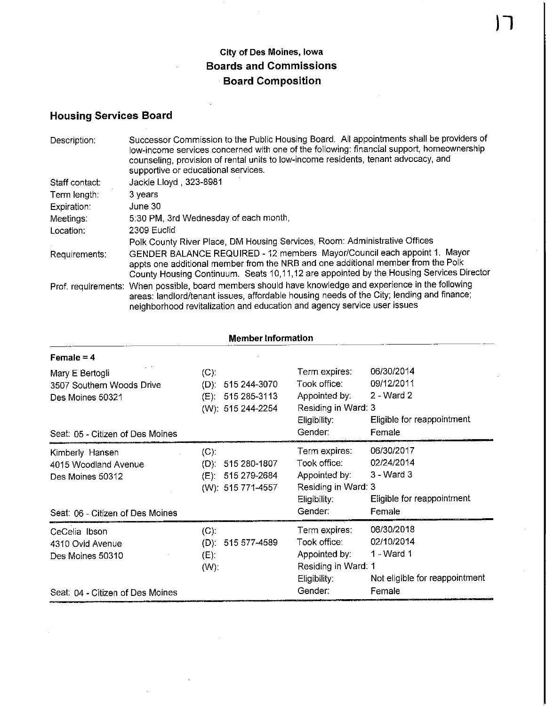## City of Des Moines, Iowa Boards and Commissions Board Composition

 $\hat{\mathcal{A}}$ 

 $\overline{\phantom{a}}$ 

## Housing Services Board

| Description:   | Successor Commission to the Public Housing Board. All appointments shall be providers of<br>low-income services concerned with one of the following: financial support, homeownership<br>counseling, provision of rental units to low-income residents, tenant advocacy, and<br>supportive or educational services. |
|----------------|---------------------------------------------------------------------------------------------------------------------------------------------------------------------------------------------------------------------------------------------------------------------------------------------------------------------|
| Staff contact: | Jackie Lloyd, 323-8981                                                                                                                                                                                                                                                                                              |
| Term length:   | 3 years                                                                                                                                                                                                                                                                                                             |
| Expiration:    | June 30                                                                                                                                                                                                                                                                                                             |
| Meetings:      | 5:30 PM, 3rd Wednesday of each month,                                                                                                                                                                                                                                                                               |
| Location:      | 2309 Euclid                                                                                                                                                                                                                                                                                                         |
|                | Polk County River Place, DM Housing Services, Room: Administrative Offices                                                                                                                                                                                                                                          |
| Requirements:  | GENDER BALANCE REQUIRED - 12 members Mayor/Council each appoint 1. Mayor<br>appts one additional member from the NRB and one additional member from the Polk<br>County Housing Continuum. Seats 10,11,12 are appointed by the Housing Services Director                                                             |
|                | Prof. requirements: When possible, board members should have knowledge and experience in the following<br>areas: landlord/tenant issues, affordable housing needs of the City; lending and finance;<br>neighborhood revitalization and education and agency service user issues                                     |

| <b>Member Information</b>                                                                       |                                                                              |                                                                                                  |                                                                                    |  |  |  |
|-------------------------------------------------------------------------------------------------|------------------------------------------------------------------------------|--------------------------------------------------------------------------------------------------|------------------------------------------------------------------------------------|--|--|--|
| Female = $4$                                                                                    |                                                                              |                                                                                                  |                                                                                    |  |  |  |
| Mary E Bertogli<br>3507 Southern Woods Drive<br>Des Moines 50321                                | $(C)$ :<br>515 244-3070<br>$(D)$ :<br>(E): 515 285-3113<br>(W): 515 244-2254 | Term expires:<br>Took office:<br>Appointed by:<br>Residing in Ward: 3<br>Eligibility:            | 06/30/2014<br>09/12/2011<br>2 - Ward 2<br>Eligible for reappointment               |  |  |  |
| Seat: 05 - Citizen of Des Moines                                                                |                                                                              | Gender:                                                                                          | Female                                                                             |  |  |  |
| Kimberly Hansen<br>4015 Woodland Avenue<br>Des Moines 50312<br>Seat: 06 - Citizen of Des Moines | (C)<br>515 280-1807<br>$(D)$ :<br>(E): 515 279-2684<br>(W): 515 771-4557     | Term expires:<br>Took office:<br>Appointed by:<br>Residing in Ward: 3<br>Eligibility:<br>Gender: | 06/30/2017<br>02/24/2014<br>$3 - Ward3$<br>Eligible for reappointment<br>Female    |  |  |  |
| CeCelia Ibson<br>4310 Ovid Avenue<br>Des Moines 50310<br>Seat: 04 - Citizen of Des Moines       | (C).<br>515 577-4589<br>$(D)$ :<br>$(E)$ :<br>(W)                            | Term expires:<br>Took office:<br>Appointed by:<br>Residing in Ward: 1<br>Eligibility.<br>Gender: | 06/30/2018<br>02/10/2014<br>1 - Ward 1<br>Not eligible for reappointment<br>Female |  |  |  |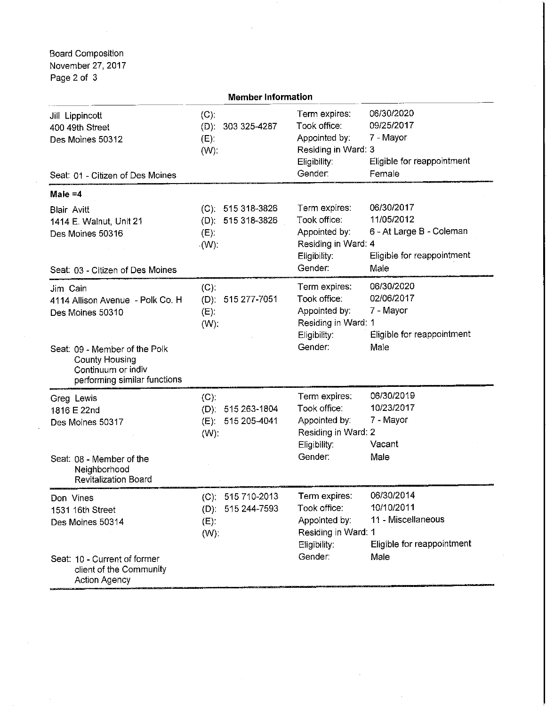oard Composition lovember 27, 2017 'age 2 of 3

| <b>Member Information</b>                                                                                                                                                        |                                                                    |                                                                                                                                                                                                |  |  |  |
|----------------------------------------------------------------------------------------------------------------------------------------------------------------------------------|--------------------------------------------------------------------|------------------------------------------------------------------------------------------------------------------------------------------------------------------------------------------------|--|--|--|
| Jill Lippincott<br>400 49th Street<br>Des Moines 50312<br>Seat: 01 - Citizen of Des Moines                                                                                       | $(C)$ :<br>(D): 303 325-4287<br>$(E)$ :<br>$(W)$ :                 | 06/30/2020<br>Term expires:<br>Took office:<br>09/25/2017<br>Appointed by:<br>7 - Mayor<br>Residing in Ward: 3<br>Eligibility:<br>Eligible for reappointment<br>Gender:<br>Female              |  |  |  |
| Male $=4$                                                                                                                                                                        |                                                                    |                                                                                                                                                                                                |  |  |  |
| <b>Blair Avitt</b><br>1414 E. Walnut, Unit 21<br>Des Moines 50316<br>Seat: 03 - Citizen of Des Moines                                                                            | $(C): 515318-3826$<br>(D): 515 318-3826<br>$(E)$ :<br>$\cdot$ (W). | 06/30/2017<br>Term expires:<br>11/05/2012<br>Took office:<br>6 - At Large B - Coleman<br>Appointed by:<br>Residing in Ward: 4<br>Eligibility:<br>Eligible for reappointment<br>Gender:<br>Male |  |  |  |
| Jim Cain<br>4114 Allison Avenue - Polk Co. H<br>Des Moines 50310<br>Seat: 09 - Member of the Polk<br><b>County Housing</b><br>Continuum or indiv<br>performing similar functions | $(C)$ :<br>(D): 515 277-7051<br>$(E)$ :<br>(W)                     | 06/30/2020<br>Term expires:<br>02/06/2017<br>Took office:<br>7 - Mayor<br>Appointed by:<br>Residing in Ward: 1<br>Eligible for reappointment<br>Eligibility:<br>Gender:<br>Male                |  |  |  |
| Greg Lewis<br>1816 E 22nd<br>Des Moines 50317<br>Seat: 08 - Member of the<br>Neighborhood<br><b>Revitalization Board</b>                                                         | $(C)$ :<br>(D): 515 263-1804<br>515 205-4041<br>$(E)$ :<br>$(W)$ : | 06/30/2019<br>Term expires:<br>Took office:<br>10/23/2017<br>Appointed by:<br>7 - Mayor<br>Residing in Ward: 2<br>Eligibility:<br>Vacant<br>Gender:<br>Male                                    |  |  |  |
| Don Vines<br>1531 16th Street<br>Des Moines 50314<br>Seat: 10 - Current of former<br>client of the Community<br><b>Action Agency</b>                                             | (C): 515 710-2013<br>(D): 515 244-7593<br>$(E)$ :<br>(W)           | 06/30/2014<br>Term expires:<br>10/10/2011<br>Took office:<br>11 - Miscellaneous<br>Appointed by:<br>Residing in Ward: 1<br>Eligible for reappointment<br>Eligibility:<br>Gender:<br>Male       |  |  |  |

 $\hat{\mathbf{v}}$